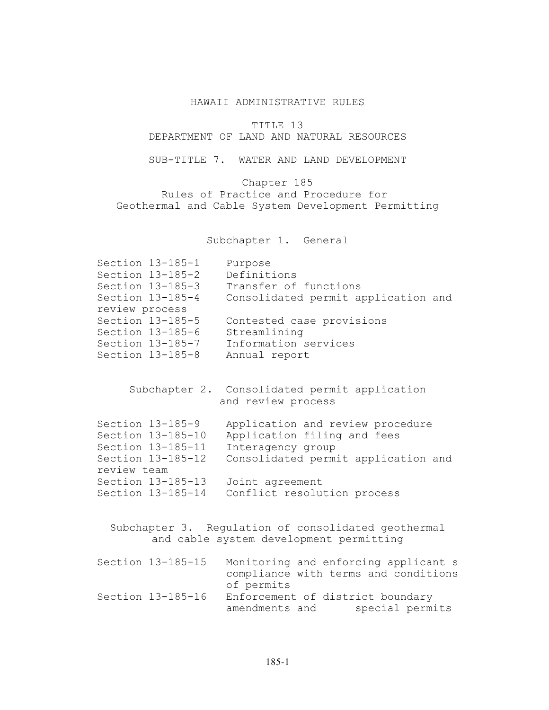## HAWAII ADMINISTRATIVE RULES

TITLE 13

DEPARTMENT OF LAND AND NATURAL RESOURCES

SUB-TITLE 7. WATER AND LAND DEVELOPMENT

Chapter 185 Rules of Practice and Procedure for Geothermal and Cable System Development Permitting

Subchapter 1. General

| Section 13-185-1<br>Section 13-185-2<br>Section 13-185-3<br>Section 13-185-4 | Purpose<br>Definitions<br>Transfer of functions<br>Consolidated permit application and |
|------------------------------------------------------------------------------|----------------------------------------------------------------------------------------|
| review process                                                               |                                                                                        |
| Section 13-185-5                                                             | Contested case provisions                                                              |
| Section $13-185-6$                                                           | Streamlining                                                                           |
| Section 13-185-7                                                             | Information services                                                                   |
| Section 13-185-8                                                             | Annual report                                                                          |

Subchapter 2. Consolidated permit application and review process

|             | Section 13-185-9  | Application and review procedure    |
|-------------|-------------------|-------------------------------------|
|             | Section 13-185-10 | Application filing and fees         |
|             | Section 13-185-11 | Interagency group                   |
|             | Section 13-185-12 | Consolidated permit application and |
| review team |                   |                                     |
|             | Section 13-185-13 | Joint agreement                     |
|             | Section 13-185-14 | Conflict resolution process         |

Subchapter 3. Regulation of consolidated geothermal and cable system development permitting

| Section 13-185-15 | Monitoring and enforcing applicant s |
|-------------------|--------------------------------------|
|                   | compliance with terms and conditions |
|                   | of permits                           |
| Section 13-185-16 | Enforcement of district boundary     |
|                   | special permits<br>amendments and    |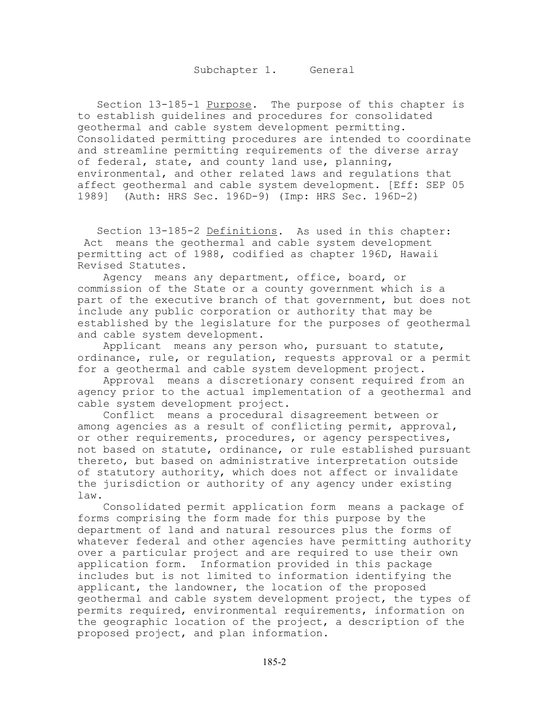Section 13-185-1 Purpose. The purpose of this chapter is to establish guidelines and procedures for consolidated geothermal and cable system development permitting. Consolidated permitting procedures are intended to coordinate and streamline permitting requirements of the diverse array of federal, state, and county land use, planning, environmental, and other related laws and regulations that affect geothermal and cable system development. [Eff: SEP 05 1989] (Auth: HRS Sec. 196D-9) (Imp: HRS Sec. 196D-2)

Section 13-185-2 Definitions. As used in this chapter: Act means the geothermal and cable system development permitting act of 1988, codified as chapter 196D, Hawaii Revised Statutes.

 Agency means any department, office, board, or commission of the State or a county government which is a part of the executive branch of that government, but does not include any public corporation or authority that may be established by the legislature for the purposes of geothermal and cable system development.

 Applicant means any person who, pursuant to statute, ordinance, rule, or regulation, requests approval or a permit for a geothermal and cable system development project.

 Approval means a discretionary consent required from an agency prior to the actual implementation of a geothermal and cable system development project.

 Conflict means a procedural disagreement between or among agencies as a result of conflicting permit, approval, or other requirements, procedures, or agency perspectives, not based on statute, ordinance, or rule established pursuant thereto, but based on administrative interpretation outside of statutory authority, which does not affect or invalidate the jurisdiction or authority of any agency under existing law.

 Consolidated permit application form means a package of forms comprising the form made for this purpose by the department of land and natural resources plus the forms of whatever federal and other agencies have permitting authority over a particular project and are required to use their own application form. Information provided in this package includes but is not limited to information identifying the applicant, the landowner, the location of the proposed geothermal and cable system development project, the types of permits required, environmental requirements, information on the geographic location of the project, a description of the proposed project, and plan information.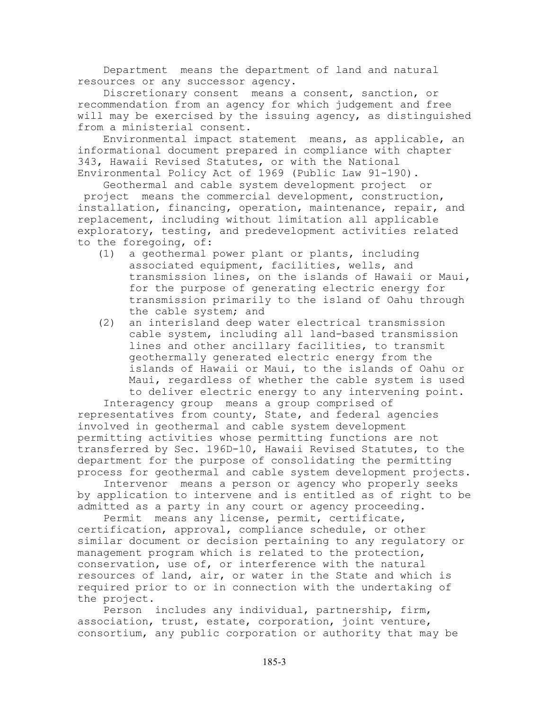Department means the department of land and natural resources or any successor agency.

 Discretionary consent means a consent, sanction, or recommendation from an agency for which judgement and free will may be exercised by the issuing agency, as distinguished from a ministerial consent.

 Environmental impact statement means, as applicable, an informational document prepared in compliance with chapter 343, Hawaii Revised Statutes, or with the National Environmental Policy Act of 1969 (Public Law 91-190).

Geothermal and cable system development project or

 project means the commercial development, construction, installation, financing, operation, maintenance, repair, and replacement, including without limitation all applicable exploratory, testing, and predevelopment activities related to the foregoing, of:

- (1) a geothermal power plant or plants, including associated equipment, facilities, wells, and transmission lines, on the islands of Hawaii or Maui, for the purpose of generating electric energy for transmission primarily to the island of Oahu through the cable system; and
- (2) an interisland deep water electrical transmission cable system, including all land-based transmission lines and other ancillary facilities, to transmit geothermally generated electric energy from the islands of Hawaii or Maui, to the islands of Oahu or Maui, regardless of whether the cable system is used to deliver electric energy to any intervening point.

 Interagency group means a group comprised of representatives from county, State, and federal agencies involved in geothermal and cable system development permitting activities whose permitting functions are not transferred by Sec. 196D-10, Hawaii Revised Statutes, to the department for the purpose of consolidating the permitting process for geothermal and cable system development projects.

 Intervenor means a person or agency who properly seeks by application to intervene and is entitled as of right to be admitted as a party in any court or agency proceeding.

 Permit means any license, permit, certificate, certification, approval, compliance schedule, or other similar document or decision pertaining to any regulatory or management program which is related to the protection, conservation, use of, or interference with the natural resources of land, air, or water in the State and which is required prior to or in connection with the undertaking of the project.

 Person includes any individual, partnership, firm, association, trust, estate, corporation, joint venture, consortium, any public corporation or authority that may be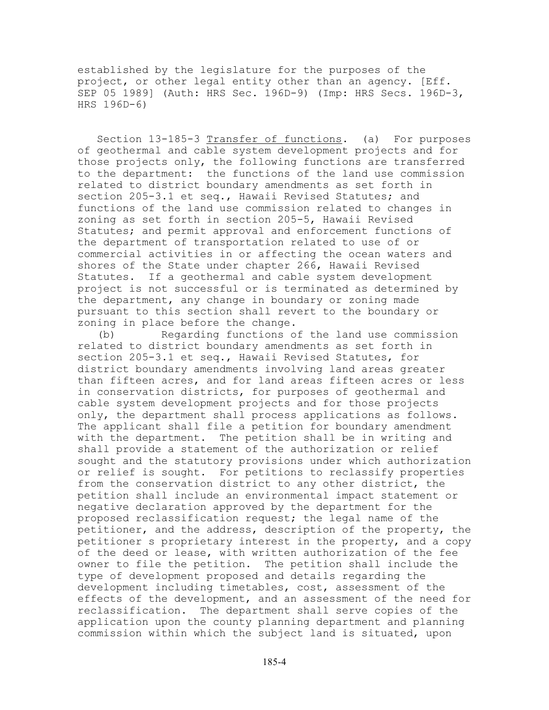established by the legislature for the purposes of the project, or other legal entity other than an agency. [Eff. SEP 05 1989] (Auth: HRS Sec. 196D-9) (Imp: HRS Secs. 196D-3, HRS 196D-6)

Section 13-185-3 Transfer of functions. (a) For purposes of geothermal and cable system development projects and for those projects only, the following functions are transferred to the department: the functions of the land use commission related to district boundary amendments as set forth in section 205-3.1 et seq., Hawaii Revised Statutes; and functions of the land use commission related to changes in zoning as set forth in section 205-5, Hawaii Revised Statutes; and permit approval and enforcement functions of the department of transportation related to use of or commercial activities in or affecting the ocean waters and shores of the State under chapter 266, Hawaii Revised Statutes. If a geothermal and cable system development project is not successful or is terminated as determined by the department, any change in boundary or zoning made pursuant to this section shall revert to the boundary or zoning in place before the change.

(b) Regarding functions of the land use commission related to district boundary amendments as set forth in section 205-3.1 et seq., Hawaii Revised Statutes, for district boundary amendments involving land areas greater than fifteen acres, and for land areas fifteen acres or less in conservation districts, for purposes of geothermal and cable system development projects and for those projects only, the department shall process applications as follows. The applicant shall file a petition for boundary amendment with the department. The petition shall be in writing and shall provide a statement of the authorization or relief sought and the statutory provisions under which authorization or relief is sought. For petitions to reclassify properties from the conservation district to any other district, the petition shall include an environmental impact statement or negative declaration approved by the department for the proposed reclassification request; the legal name of the petitioner, and the address, description of the property, the petitioner s proprietary interest in the property, and a copy of the deed or lease, with written authorization of the fee owner to file the petition. The petition shall include the type of development proposed and details regarding the development including timetables, cost, assessment of the effects of the development, and an assessment of the need for reclassification. The department shall serve copies of the application upon the county planning department and planning commission within which the subject land is situated, upon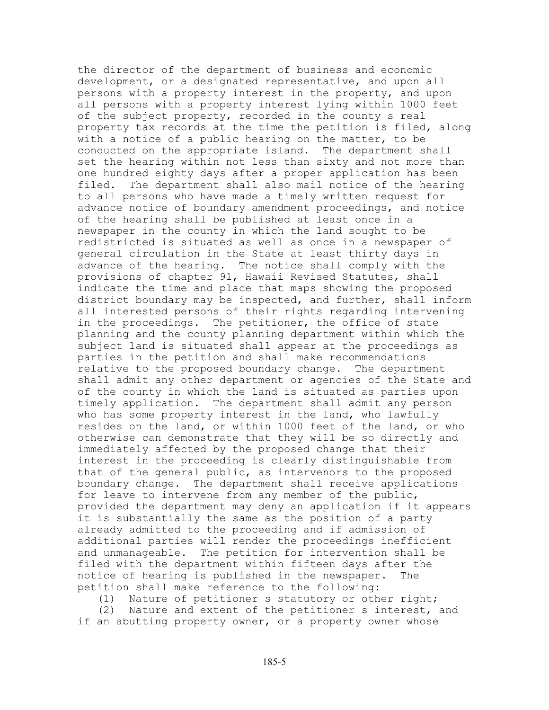the director of the department of business and economic development, or a designated representative, and upon all persons with a property interest in the property, and upon all persons with a property interest lying within 1000 feet of the subject property, recorded in the county s real property tax records at the time the petition is filed, along with a notice of a public hearing on the matter, to be conducted on the appropriate island. The department shall set the hearing within not less than sixty and not more than one hundred eighty days after a proper application has been filed. The department shall also mail notice of the hearing to all persons who have made a timely written request for advance notice of boundary amendment proceedings, and notice of the hearing shall be published at least once in a newspaper in the county in which the land sought to be redistricted is situated as well as once in a newspaper of general circulation in the State at least thirty days in advance of the hearing. The notice shall comply with the provisions of chapter 91, Hawaii Revised Statutes, shall indicate the time and place that maps showing the proposed district boundary may be inspected, and further, shall inform all interested persons of their rights regarding intervening in the proceedings. The petitioner, the office of state planning and the county planning department within which the subject land is situated shall appear at the proceedings as parties in the petition and shall make recommendations relative to the proposed boundary change. The department shall admit any other department or agencies of the State and of the county in which the land is situated as parties upon timely application. The department shall admit any person who has some property interest in the land, who lawfully resides on the land, or within 1000 feet of the land, or who otherwise can demonstrate that they will be so directly and immediately affected by the proposed change that their interest in the proceeding is clearly distinguishable from that of the general public, as intervenors to the proposed boundary change. The department shall receive applications for leave to intervene from any member of the public, provided the department may deny an application if it appears it is substantially the same as the position of a party already admitted to the proceeding and if admission of additional parties will render the proceedings inefficient and unmanageable. The petition for intervention shall be filed with the department within fifteen days after the notice of hearing is published in the newspaper. The petition shall make reference to the following:

(1) Nature of petitioner s statutory or other right;

(2) Nature and extent of the petitioner s interest, and if an abutting property owner, or a property owner whose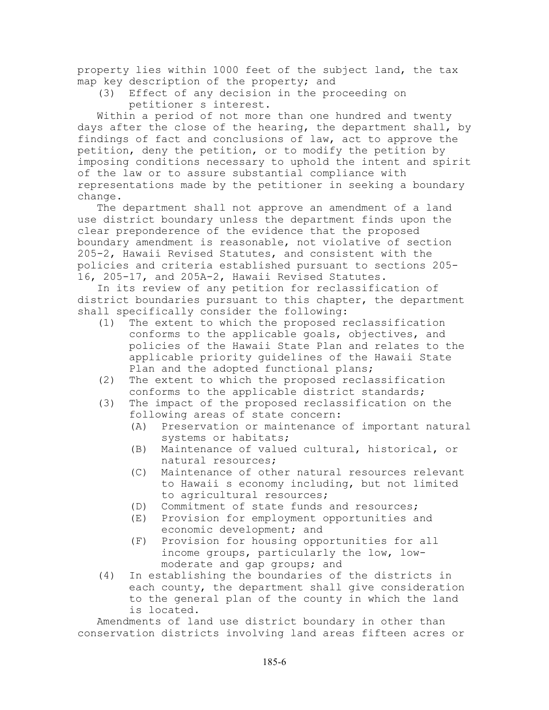property lies within 1000 feet of the subject land, the tax map key description of the property; and

(3) Effect of any decision in the proceeding on petitioner s interest.

Within a period of not more than one hundred and twenty days after the close of the hearing, the department shall, by findings of fact and conclusions of law, act to approve the petition, deny the petition, or to modify the petition by imposing conditions necessary to uphold the intent and spirit of the law or to assure substantial compliance with representations made by the petitioner in seeking a boundary change.

The department shall not approve an amendment of a land use district boundary unless the department finds upon the clear preponderence of the evidence that the proposed boundary amendment is reasonable, not violative of section 205-2, Hawaii Revised Statutes, and consistent with the policies and criteria established pursuant to sections 205- 16, 205-17, and 205A-2, Hawaii Revised Statutes.

In its review of any petition for reclassification of district boundaries pursuant to this chapter, the department shall specifically consider the following:

- (1) The extent to which the proposed reclassification conforms to the applicable goals, objectives, and policies of the Hawaii State Plan and relates to the applicable priority guidelines of the Hawaii State Plan and the adopted functional plans;
- (2) The extent to which the proposed reclassification conforms to the applicable district standards;
- (3) The impact of the proposed reclassification on the following areas of state concern:
	- (A) Preservation or maintenance of important natural systems or habitats;
	- (B) Maintenance of valued cultural, historical, or natural resources;
	- (C) Maintenance of other natural resources relevant to Hawaii s economy including, but not limited to agricultural resources;
	- (D) Commitment of state funds and resources;
	- (E) Provision for employment opportunities and economic development; and
	- (F) Provision for housing opportunities for all income groups, particularly the low, lowmoderate and gap groups; and
- (4) In establishing the boundaries of the districts in each county, the department shall give consideration to the general plan of the county in which the land is located.

Amendments of land use district boundary in other than conservation districts involving land areas fifteen acres or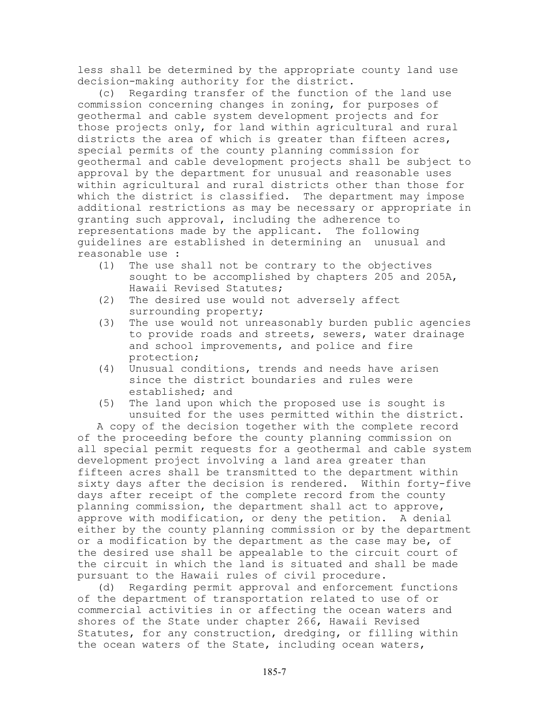less shall be determined by the appropriate county land use decision-making authority for the district.

(c) Regarding transfer of the function of the land use commission concerning changes in zoning, for purposes of geothermal and cable system development projects and for those projects only, for land within agricultural and rural districts the area of which is greater than fifteen acres, special permits of the county planning commission for geothermal and cable development projects shall be subject to approval by the department for unusual and reasonable uses within agricultural and rural districts other than those for which the district is classified. The department may impose additional restrictions as may be necessary or appropriate in granting such approval, including the adherence to representations made by the applicant. The following guidelines are established in determining an unusual and reasonable use :

- (1) The use shall not be contrary to the objectives sought to be accomplished by chapters 205 and 205A, Hawaii Revised Statutes;
- (2) The desired use would not adversely affect surrounding property;
- (3) The use would not unreasonably burden public agencies to provide roads and streets, sewers, water drainage and school improvements, and police and fire protection;
- (4) Unusual conditions, trends and needs have arisen since the district boundaries and rules were established; and
- (5) The land upon which the proposed use is sought is unsuited for the uses permitted within the district.

A copy of the decision together with the complete record of the proceeding before the county planning commission on all special permit requests for a geothermal and cable system development project involving a land area greater than fifteen acres shall be transmitted to the department within sixty days after the decision is rendered. Within forty-five days after receipt of the complete record from the county planning commission, the department shall act to approve, approve with modification, or deny the petition. A denial either by the county planning commission or by the department or a modification by the department as the case may be, of the desired use shall be appealable to the circuit court of the circuit in which the land is situated and shall be made pursuant to the Hawaii rules of civil procedure.

(d) Regarding permit approval and enforcement functions of the department of transportation related to use of or commercial activities in or affecting the ocean waters and shores of the State under chapter 266, Hawaii Revised Statutes, for any construction, dredging, or filling within the ocean waters of the State, including ocean waters,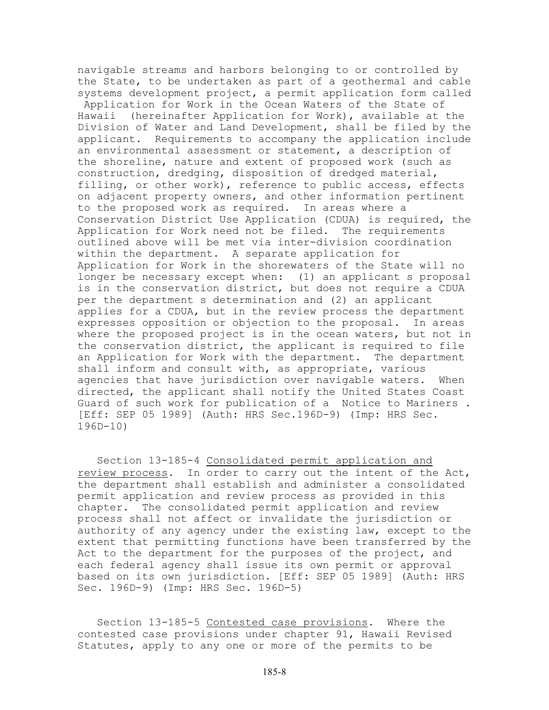navigable streams and harbors belonging to or controlled by the State, to be undertaken as part of a geothermal and cable systems development project, a permit application form called

 Application for Work in the Ocean Waters of the State of Hawaii (hereinafter Application for Work), available at the Division of Water and Land Development, shall be filed by the applicant. Requirements to accompany the application include an environmental assessment or statement, a description of the shoreline, nature and extent of proposed work (such as construction, dredging, disposition of dredged material, filling, or other work), reference to public access, effects on adjacent property owners, and other information pertinent to the proposed work as required. In areas where a Conservation District Use Application (CDUA) is required, the Application for Work need not be filed. The requirements outlined above will be met via inter-division coordination within the department. A separate application for Application for Work in the shorewaters of the State will no longer be necessary except when: (1) an applicant s proposal is in the conservation district, but does not require a CDUA per the department s determination and (2) an applicant applies for a CDUA, but in the review process the department expresses opposition or objection to the proposal. In areas where the proposed project is in the ocean waters, but not in the conservation district, the applicant is required to file an Application for Work with the department. The department shall inform and consult with, as appropriate, various agencies that have jurisdiction over navigable waters. When directed, the applicant shall notify the United States Coast Guard of such work for publication of a Notice to Mariners [Eff: SEP 05 1989] (Auth: HRS Sec.196D-9) (Imp: HRS Sec. 196D-10)

Section 13-185-4 Consolidated permit application and review process. In order to carry out the intent of the Act, the department shall establish and administer a consolidated permit application and review process as provided in this chapter. The consolidated permit application and review process shall not affect or invalidate the jurisdiction or authority of any agency under the existing law, except to the extent that permitting functions have been transferred by the Act to the department for the purposes of the project, and each federal agency shall issue its own permit or approval based on its own jurisdiction. [Eff: SEP 05 1989] (Auth: HRS Sec. 196D-9) (Imp: HRS Sec. 196D-5)

Section 13-185-5 Contested case provisions. Where the contested case provisions under chapter 91, Hawaii Revised Statutes, apply to any one or more of the permits to be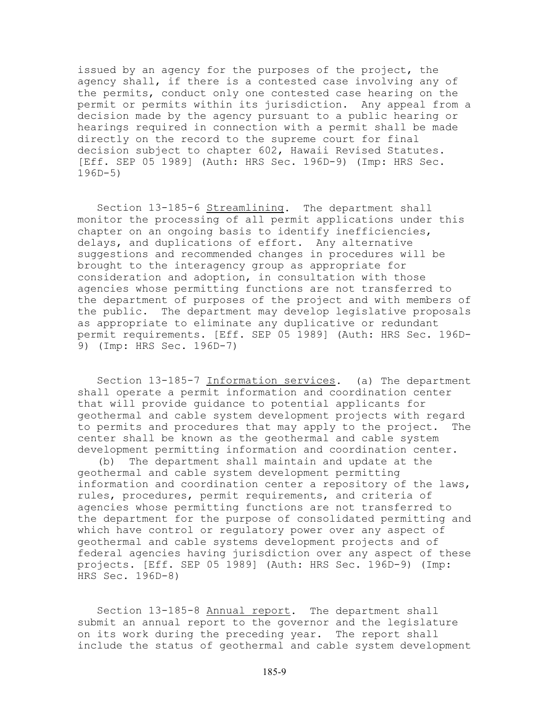issued by an agency for the purposes of the project, the agency shall, if there is a contested case involving any of the permits, conduct only one contested case hearing on the permit or permits within its jurisdiction. Any appeal from a decision made by the agency pursuant to a public hearing or hearings required in connection with a permit shall be made directly on the record to the supreme court for final decision subject to chapter 602, Hawaii Revised Statutes. [Eff. SEP 05 1989] (Auth: HRS Sec. 196D-9) (Imp: HRS Sec. 196D-5)

Section 13-185-6 Streamlining. The department shall monitor the processing of all permit applications under this chapter on an ongoing basis to identify inefficiencies, delays, and duplications of effort. Any alternative suggestions and recommended changes in procedures will be brought to the interagency group as appropriate for consideration and adoption, in consultation with those agencies whose permitting functions are not transferred to the department of purposes of the project and with members of the public. The department may develop legislative proposals as appropriate to eliminate any duplicative or redundant permit requirements. [Eff. SEP 05 1989] (Auth: HRS Sec. 196D-9) (Imp: HRS Sec. 196D-7)

Section 13-185-7 Information services. (a) The department shall operate a permit information and coordination center that will provide guidance to potential applicants for geothermal and cable system development projects with regard to permits and procedures that may apply to the project. The center shall be known as the geothermal and cable system development permitting information and coordination center.

(b) The department shall maintain and update at the geothermal and cable system development permitting information and coordination center a repository of the laws, rules, procedures, permit requirements, and criteria of agencies whose permitting functions are not transferred to the department for the purpose of consolidated permitting and which have control or regulatory power over any aspect of geothermal and cable systems development projects and of federal agencies having jurisdiction over any aspect of these projects. [Eff. SEP 05 1989] (Auth: HRS Sec. 196D-9) (Imp: HRS Sec. 196D-8)

Section 13-185-8 Annual report. The department shall submit an annual report to the governor and the legislature on its work during the preceding year. The report shall include the status of geothermal and cable system development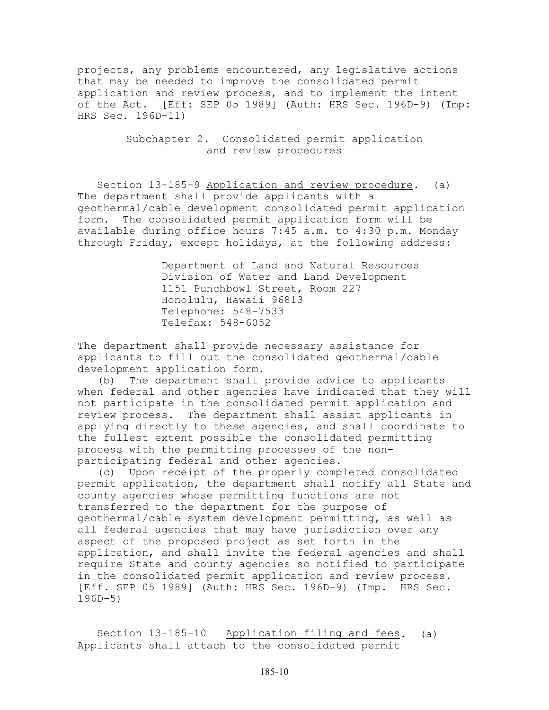projects, any problems encountered, any legislative actions that may be needed to improve the consolidated permit application and review process, and to implement the intent of the Act. [Eff: SEP 05 1989] (Auth: HRS Sec. 196D-9) (Imp: HRS Sec. 196D-11)

## Subchapter 2. Consolidated permit application and review procedures

Section 13-185-9 Application and review procedure. (a) The department shall provide applicants with a geothermal/cable development consolidated permit application form. The consolidated permit application form will be available during office hours 7:45 a.m. to 4:30 p.m. Monday through Friday, except holidays, at the following address:

> Department of Land and Natural Resources Division of Water and Land Development 1151 Punchbowl Street, Room 227 Honolulu, Hawaii 96813 Telephone: 548-7533 Telefax: 548-6052

The department shall provide necessary assistance for applicants to fill out the consolidated geothermal/cable development application form.

(b) The department shall provide advice to applicants when federal and other agencies have indicated that they will not participate in the consolidated permit application and review process. The department shall assist applicants in applying directly to these agencies, and shall coordinate to the fullest extent possible the consolidated permitting process with the permitting processes of the nonparticipating federal and other agencies.

(c) Upon receipt of the properly completed consolidated permit application, the department shall notify all State and county agencies whose permitting functions are not transferred to the department for the purpose of geothermal/cable system development permitting, as well as all federal agencies that may have jurisdiction over any aspect of the proposed project as set forth in the application, and shall invite the federal agencies and shall require State and county agencies so notified to participate in the consolidated permit application and review process. [Eff. SEP 05 1989] (Auth: HRS Sec. 196D-9) (Imp. HRS Sec. 196D-5)

Section 13-185-10 Application filing and fees. (a) Applicants shall attach to the consolidated permit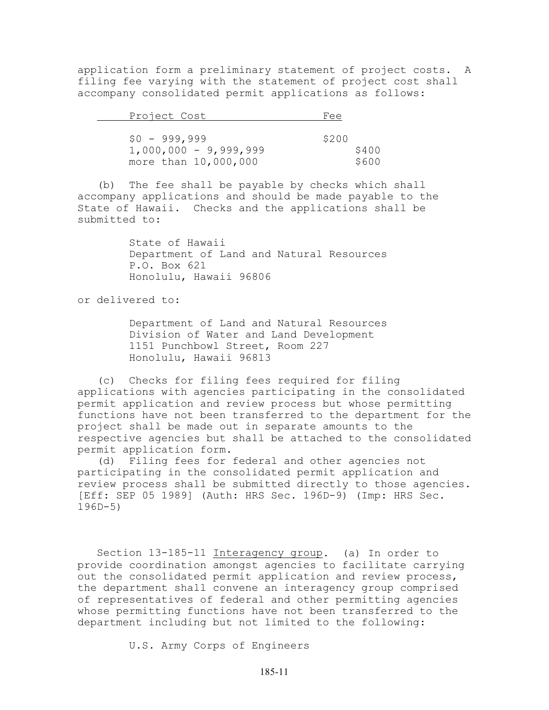application form a preliminary statement of project costs. A filing fee varying with the statement of project cost shall accompany consolidated permit applications as follows:

| Project Cost            | Fee   |
|-------------------------|-------|
|                         |       |
| $$0 - 999,999$          | \$200 |
| $1,000,000 - 9,999,999$ | \$400 |
| more than 10,000,000    | \$600 |

(b) The fee shall be payable by checks which shall accompany applications and should be made payable to the State of Hawaii. Checks and the applications shall be submitted to:

> State of Hawaii Department of Land and Natural Resources P.O. Box 621 Honolulu, Hawaii 96806

or delivered to:

Department of Land and Natural Resources Division of Water and Land Development 1151 Punchbowl Street, Room 227 Honolulu, Hawaii 96813

(c) Checks for filing fees required for filing applications with agencies participating in the consolidated permit application and review process but whose permitting functions have not been transferred to the department for the project shall be made out in separate amounts to the respective agencies but shall be attached to the consolidated permit application form.

(d) Filing fees for federal and other agencies not participating in the consolidated permit application and review process shall be submitted directly to those agencies. [Eff: SEP 05 1989] (Auth: HRS Sec. 196D-9) (Imp: HRS Sec. 196D-5)

Section 13-185-11 Interagency group. (a) In order to provide coordination amongst agencies to facilitate carrying out the consolidated permit application and review process, the department shall convene an interagency group comprised of representatives of federal and other permitting agencies whose permitting functions have not been transferred to the department including but not limited to the following:

U.S. Army Corps of Engineers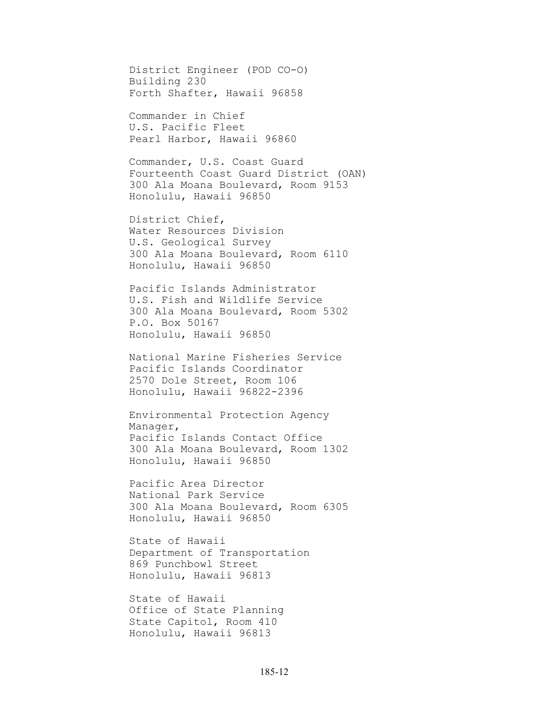District Engineer (POD CO-O) Building 230 Forth Shafter, Hawaii 96858

Commander in Chief U.S. Pacific Fleet Pearl Harbor, Hawaii 96860

Commander, U.S. Coast Guard Fourteenth Coast Guard District (OAN) 300 Ala Moana Boulevard, Room 9153 Honolulu, Hawaii 96850

District Chief, Water Resources Division U.S. Geological Survey 300 Ala Moana Boulevard, Room 6110 Honolulu, Hawaii 96850

Pacific Islands Administrator U.S. Fish and Wildlife Service 300 Ala Moana Boulevard, Room 5302 P.O. Box 50167 Honolulu, Hawaii 96850

National Marine Fisheries Service Pacific Islands Coordinator 2570 Dole Street, Room 106 Honolulu, Hawaii 96822-2396

Environmental Protection Agency Manager, Pacific Islands Contact Office 300 Ala Moana Boulevard, Room 1302 Honolulu, Hawaii 96850

Pacific Area Director National Park Service 300 Ala Moana Boulevard, Room 6305 Honolulu, Hawaii 96850

State of Hawaii Department of Transportation 869 Punchbowl Street Honolulu, Hawaii 96813

State of Hawaii Office of State Planning State Capitol, Room 410 Honolulu, Hawaii 96813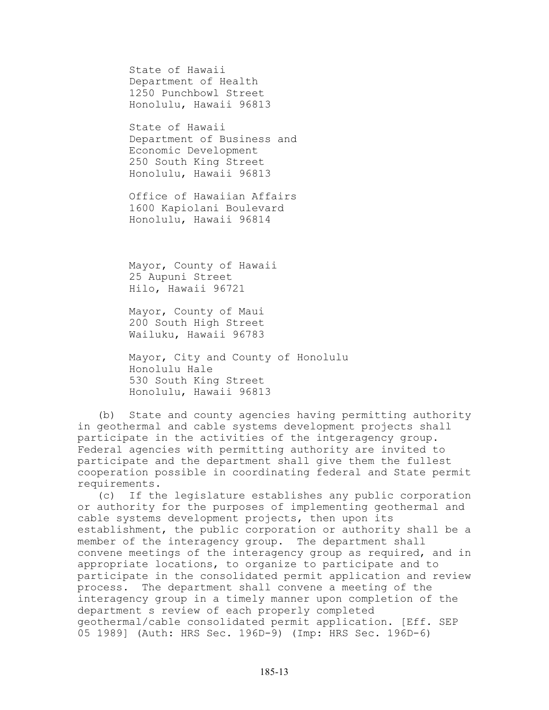State of Hawaii Department of Health 1250 Punchbowl Street Honolulu, Hawaii 96813

State of Hawaii Department of Business and Economic Development 250 South King Street Honolulu, Hawaii 96813

Office of Hawaiian Affairs 1600 Kapiolani Boulevard Honolulu, Hawaii 96814

Mayor, County of Hawaii 25 Aupuni Street Hilo, Hawaii 96721

Mayor, County of Maui 200 South High Street Wailuku, Hawaii 96783

Mayor, City and County of Honolulu Honolulu Hale 530 South King Street Honolulu, Hawaii 96813

(b) State and county agencies having permitting authority in geothermal and cable systems development projects shall participate in the activities of the intgeragency group. Federal agencies with permitting authority are invited to participate and the department shall give them the fullest cooperation possible in coordinating federal and State permit requirements.

(c) If the legislature establishes any public corporation or authority for the purposes of implementing geothermal and cable systems development projects, then upon its establishment, the public corporation or authority shall be a member of the interagency group. The department shall convene meetings of the interagency group as required, and in appropriate locations, to organize to participate and to participate in the consolidated permit application and review process. The department shall convene a meeting of the interagency group in a timely manner upon completion of the department s review of each properly completed geothermal/cable consolidated permit application. [Eff. SEP 05 1989] (Auth: HRS Sec. 196D-9) (Imp: HRS Sec. 196D-6)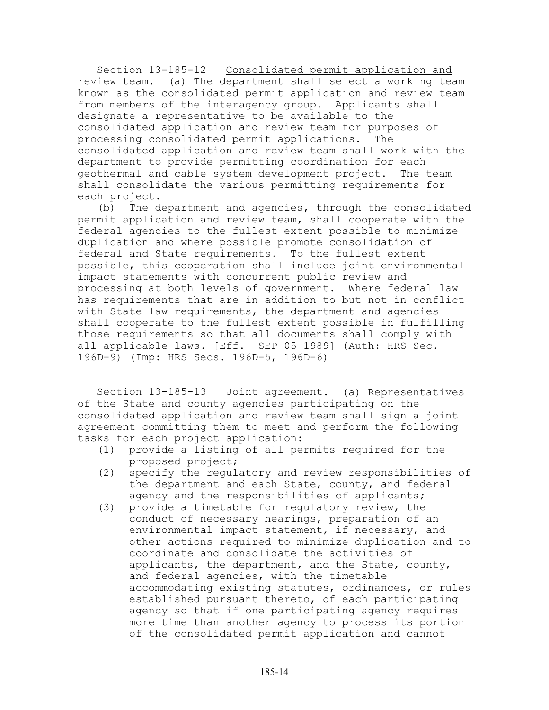Section 13-185-12 Consolidated permit application and review team. (a) The department shall select a working team known as the consolidated permit application and review team from members of the interagency group. Applicants shall designate a representative to be available to the consolidated application and review team for purposes of processing consolidated permit applications. The consolidated application and review team shall work with the department to provide permitting coordination for each geothermal and cable system development project. The team shall consolidate the various permitting requirements for each project.

(b) The department and agencies, through the consolidated permit application and review team, shall cooperate with the federal agencies to the fullest extent possible to minimize duplication and where possible promote consolidation of federal and State requirements. To the fullest extent possible, this cooperation shall include joint environmental impact statements with concurrent public review and processing at both levels of government. Where federal law has requirements that are in addition to but not in conflict with State law requirements, the department and agencies shall cooperate to the fullest extent possible in fulfilling those requirements so that all documents shall comply with all applicable laws. [Eff. SEP 05 1989] (Auth: HRS Sec. 196D-9) (Imp: HRS Secs. 196D-5, 196D-6)

Section 13-185-13 Joint agreement. (a) Representatives of the State and county agencies participating on the consolidated application and review team shall sign a joint agreement committing them to meet and perform the following tasks for each project application:

- (1) provide a listing of all permits required for the proposed project;
- (2) specify the regulatory and review responsibilities of the department and each State, county, and federal agency and the responsibilities of applicants;
- (3) provide a timetable for regulatory review, the conduct of necessary hearings, preparation of an environmental impact statement, if necessary, and other actions required to minimize duplication and to coordinate and consolidate the activities of applicants, the department, and the State, county, and federal agencies, with the timetable accommodating existing statutes, ordinances, or rules established pursuant thereto, of each participating agency so that if one participating agency requires more time than another agency to process its portion of the consolidated permit application and cannot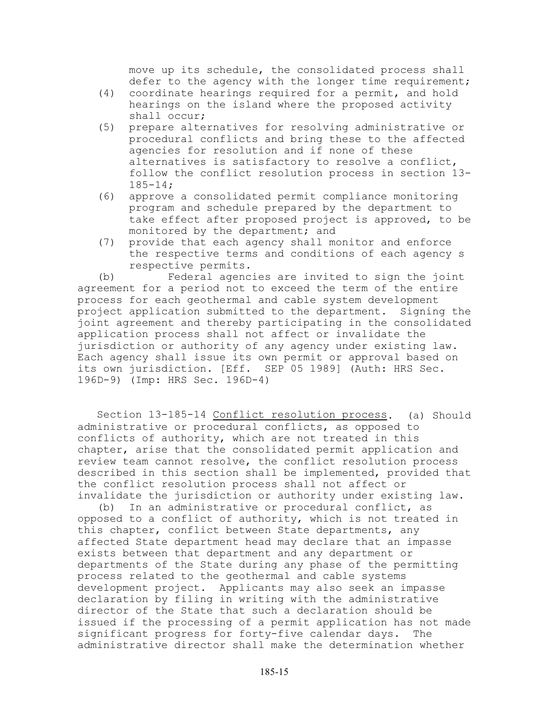move up its schedule, the consolidated process shall defer to the agency with the longer time requirement;

- (4) coordinate hearings required for a permit, and hold hearings on the island where the proposed activity shall occur;
- (5) prepare alternatives for resolving administrative or procedural conflicts and bring these to the affected agencies for resolution and if none of these alternatives is satisfactory to resolve a conflict, follow the conflict resolution process in section 13- 185-14;
- (6) approve a consolidated permit compliance monitoring program and schedule prepared by the department to take effect after proposed project is approved, to be monitored by the department; and
- (7) provide that each agency shall monitor and enforce the respective terms and conditions of each agency s respective permits.

(b) Federal agencies are invited to sign the joint agreement for a period not to exceed the term of the entire process for each geothermal and cable system development project application submitted to the department. Signing the joint agreement and thereby participating in the consolidated application process shall not affect or invalidate the jurisdiction or authority of any agency under existing law. Each agency shall issue its own permit or approval based on its own jurisdiction. [Eff. SEP 05 1989] (Auth: HRS Sec. 196D-9) (Imp: HRS Sec. 196D-4)

Section 13-185-14 Conflict resolution process. (a) Should administrative or procedural conflicts, as opposed to conflicts of authority, which are not treated in this chapter, arise that the consolidated permit application and review team cannot resolve, the conflict resolution process described in this section shall be implemented, provided that the conflict resolution process shall not affect or invalidate the jurisdiction or authority under existing law.

(b) In an administrative or procedural conflict, as opposed to a conflict of authority, which is not treated in this chapter, conflict between State departments, any affected State department head may declare that an impasse exists between that department and any department or departments of the State during any phase of the permitting process related to the geothermal and cable systems development project. Applicants may also seek an impasse declaration by filing in writing with the administrative director of the State that such a declaration should be issued if the processing of a permit application has not made significant progress for forty-five calendar days. The administrative director shall make the determination whether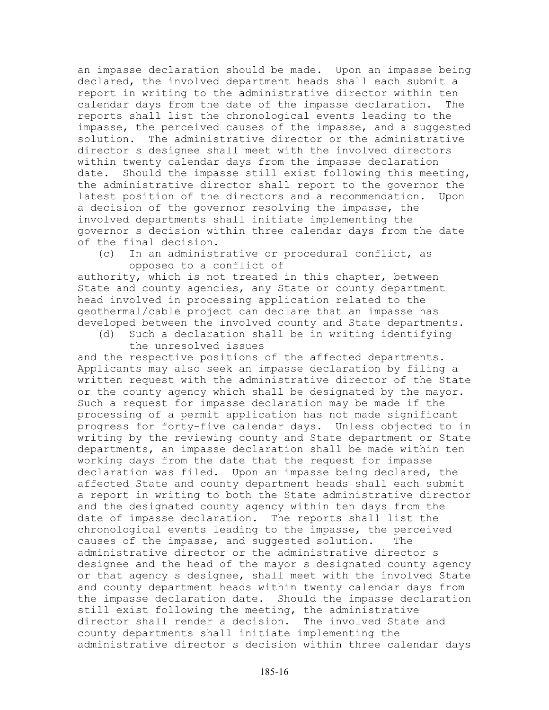an impasse declaration should be made. Upon an impasse being declared, the involved department heads shall each submit a report in writing to the administrative director within ten calendar days from the date of the impasse declaration. The reports shall list the chronological events leading to the impasse, the perceived causes of the impasse, and a suggested solution. The administrative director or the administrative director s designee shall meet with the involved directors within twenty calendar days from the impasse declaration date. Should the impasse still exist following this meeting, the administrative director shall report to the governor the latest position of the directors and a recommendation. Upon a decision of the governor resolving the impasse, the involved departments shall initiate implementing the governor s decision within three calendar days from the date of the final decision.

(c) In an administrative or procedural conflict, as opposed to a conflict of

authority, which is not treated in this chapter, between State and county agencies, any State or county department head involved in processing application related to the geothermal/cable project can declare that an impasse has developed between the involved county and State departments.

(d) Such a declaration shall be in writing identifying the unresolved issues

and the respective positions of the affected departments. Applicants may also seek an impasse declaration by filing a written request with the administrative director of the State or the county agency which shall be designated by the mayor. Such a request for impasse declaration may be made if the processing of a permit application has not made significant progress for forty-five calendar days. Unless objected to in writing by the reviewing county and State department or State departments, an impasse declaration shall be made within ten working days from the date that the request for impasse declaration was filed. Upon an impasse being declared, the affected State and county department heads shall each submit a report in writing to both the State administrative director and the designated county agency within ten days from the date of impasse declaration. The reports shall list the chronological events leading to the impasse, the perceived causes of the impasse, and suggested solution. The administrative director or the administrative director s designee and the head of the mayor s designated county agency or that agency s designee, shall meet with the involved State and county department heads within twenty calendar days from the impasse declaration date. Should the impasse declaration still exist following the meeting, the administrative director shall render a decision. The involved State and county departments shall initiate implementing the administrative director s decision within three calendar days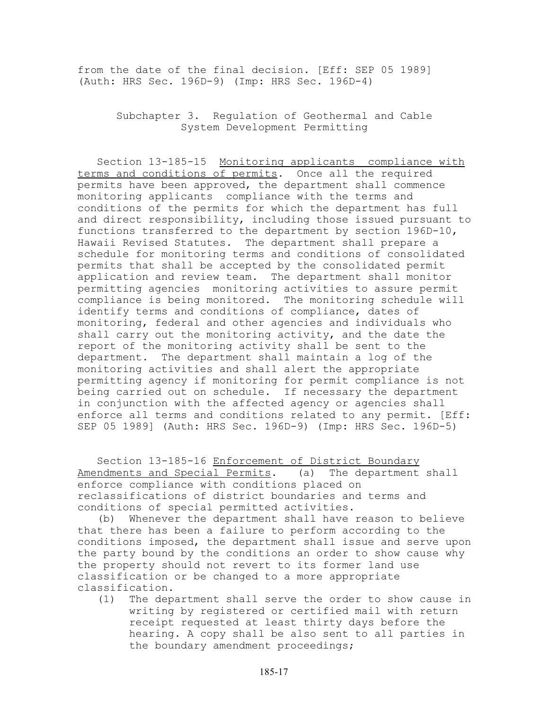from the date of the final decision. [Eff: SEP 05 1989] (Auth: HRS Sec. 196D-9) (Imp: HRS Sec. 196D-4)

> Subchapter 3. Regulation of Geothermal and Cable System Development Permitting

Section 13-185-15 Monitoring applicants compliance with terms and conditions of permits. Once all the required permits have been approved, the department shall commence monitoring applicants compliance with the terms and conditions of the permits for which the department has full and direct responsibility, including those issued pursuant to functions transferred to the department by section 196D-10, Hawaii Revised Statutes. The department shall prepare a schedule for monitoring terms and conditions of consolidated permits that shall be accepted by the consolidated permit application and review team. The department shall monitor permitting agencies monitoring activities to assure permit compliance is being monitored. The monitoring schedule will identify terms and conditions of compliance, dates of monitoring, federal and other agencies and individuals who shall carry out the monitoring activity, and the date the report of the monitoring activity shall be sent to the department. The department shall maintain a log of the monitoring activities and shall alert the appropriate permitting agency if monitoring for permit compliance is not being carried out on schedule. If necessary the department in conjunction with the affected agency or agencies shall enforce all terms and conditions related to any permit. [Eff: SEP 05 1989] (Auth: HRS Sec. 196D-9) (Imp: HRS Sec. 196D-5)

Section 13-185-16 Enforcement of District Boundary Amendments and Special Permits. (a) The department shall enforce compliance with conditions placed on reclassifications of district boundaries and terms and conditions of special permitted activities.

(b) Whenever the department shall have reason to believe that there has been a failure to perform according to the conditions imposed, the department shall issue and serve upon the party bound by the conditions an order to show cause why the property should not revert to its former land use classification or be changed to a more appropriate classification.

(1) The department shall serve the order to show cause in writing by registered or certified mail with return receipt requested at least thirty days before the hearing. A copy shall be also sent to all parties in the boundary amendment proceedings;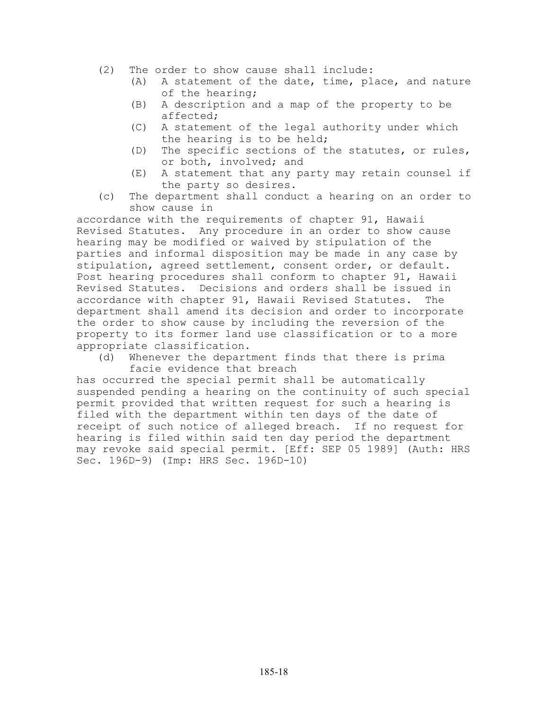- (2) The order to show cause shall include:
	- (A) A statement of the date, time, place, and nature of the hearing;
	- (B) A description and a map of the property to be affected;
	- (C) A statement of the legal authority under which the hearing is to be held;
	- (D) The specific sections of the statutes, or rules, or both, involved; and
	- (E) A statement that any party may retain counsel if the party so desires.
- (c) The department shall conduct a hearing on an order to show cause in

accordance with the requirements of chapter 91, Hawaii Revised Statutes. Any procedure in an order to show cause hearing may be modified or waived by stipulation of the parties and informal disposition may be made in any case by stipulation, agreed settlement, consent order, or default. Post hearing procedures shall conform to chapter 91, Hawaii Revised Statutes. Decisions and orders shall be issued in accordance with chapter 91, Hawaii Revised Statutes. The department shall amend its decision and order to incorporate the order to show cause by including the reversion of the property to its former land use classification or to a more appropriate classification.

(d) Whenever the department finds that there is prima facie evidence that breach

has occurred the special permit shall be automatically suspended pending a hearing on the continuity of such special permit provided that written request for such a hearing is filed with the department within ten days of the date of receipt of such notice of alleged breach. If no request for hearing is filed within said ten day period the department may revoke said special permit. [Eff: SEP 05 1989] (Auth: HRS Sec. 196D-9) (Imp: HRS Sec. 196D-10)